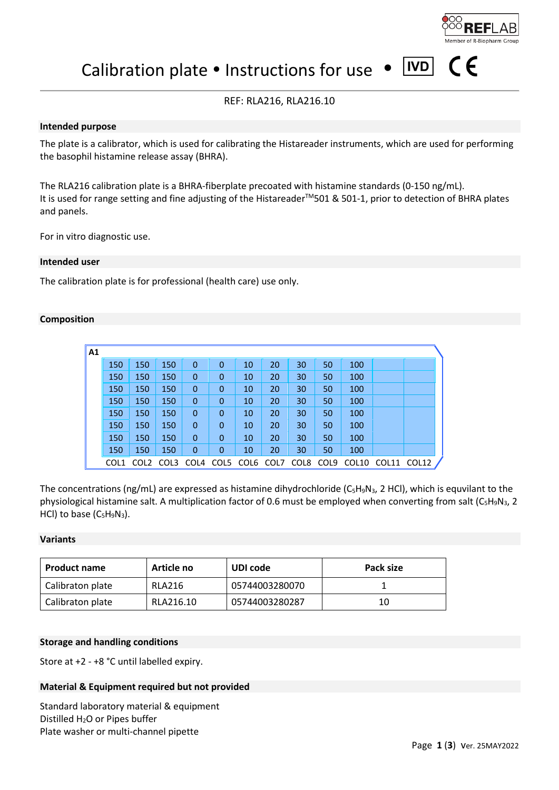

(  $\epsilon$ 

 $|ND|$ Calibration plate • Instructions for use

# REF: RLA216, RLA216.10

## **Intended purpose**

The plate is a calibrator, which is used for calibrating the Histareader instruments, which are used for performing the basophil histamine release assay (BHRA).

The RLA216 calibration plate is a BHRA-fiberplate precoated with histamine standards (0-150 ng/mL). It is used for range setting and fine adjusting of the Histareader™501 & 501-1, prior to detection of BHRA plates and panels.

For in vitro diagnostic use.

## **Intended user**

The calibration plate is for professional (health care) use only.

## **Composition**

| A <sub>1</sub> |      |                  |      |             |                |                |    |      |      |       |       |       |
|----------------|------|------------------|------|-------------|----------------|----------------|----|------|------|-------|-------|-------|
|                | 150  | 150              | 150  | $\mathbf 0$ | $\overline{0}$ | 10             | 20 | 30   | 50   | 100   |       |       |
|                | 150  | 150              | 150  | $\mathbf 0$ | 0              | 10             | 20 | 30   | 50   | 100   |       |       |
|                | 150  | 150              | 150  | $\mathbf 0$ | $\mathbf 0$    | 10             | 20 | 30   | 50   | 100   |       |       |
|                | 150  | 150              | 150  | $\mathbf 0$ | 0              | 10             | 20 | 30   | 50   | 100   |       |       |
|                | 150  | 150              | 150  | $\mathbf 0$ | 0              | 10             | 20 | 30   | 50   | 100   |       |       |
|                | 150  | 150              | 150  | $\mathbf 0$ | $\mathbf 0$    | 10             | 20 | 30   | 50   | 100   |       |       |
|                | 150  | 150              | 150  | $\mathbf 0$ | $\mathbf 0$    | 10             | 20 | 30   | 50   | 100   |       |       |
|                | 150  | 150              | 150  | $\mathbf 0$ | 0              | 10             | 20 | 30   | 50   | 100   |       |       |
|                | COL1 | COL <sub>2</sub> | COL3 | COL4        |                | COL5 COL6 COL7 |    | COL8 | COL9 | COL10 | COL11 | COL12 |

The concentrations (ng/mL) are expressed as histamine dihydrochloride (C<sub>5</sub>H<sub>9</sub>N<sub>3</sub>, 2 HCl), which is equvilant to the physiological histamine salt. A multiplication factor of 0.6 must be employed when converting from salt (C<sub>5</sub>H<sub>9</sub>N<sub>3</sub>, 2 HCl) to base  $(C_5H_9N_3)$ .

## **Variants**

| <b>Product name</b> | Article no | UDI code       | Pack size |
|---------------------|------------|----------------|-----------|
| Calibraton plate    | RLA216     | 05744003280070 |           |
| Calibraton plate    | RLA216.10  | 05744003280287 | 10        |

## **Storage and handling conditions**

Store at +2 - +8 °C until labelled expiry.

## **Material & Equipment required but not provided**

Standard laboratory material & equipment Distilled H<sub>2</sub>O or Pipes buffer Plate washer or multi-channel pipette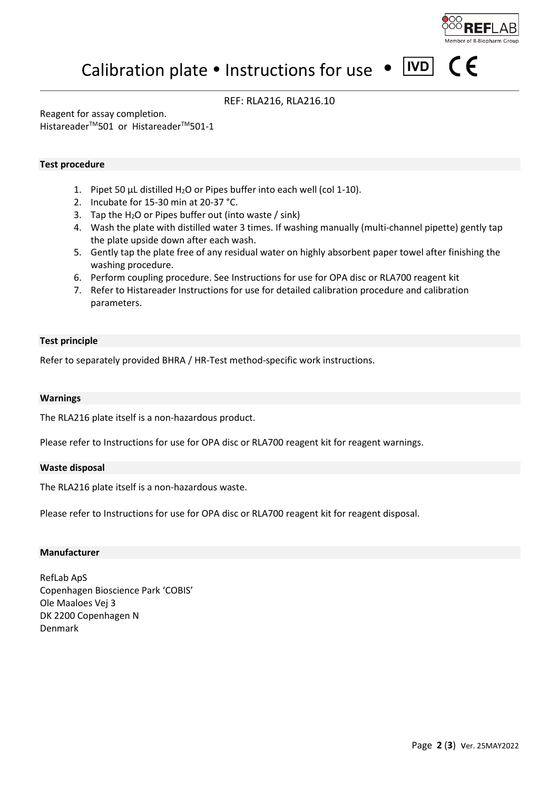

 $\epsilon$ 

#### $|IVD|$ Calibration plate  $\bullet$  Instructions for use  $\bullet$

# REF: RLA216, RLA216.10

Reagent for assay completion.

Histareader™501 or Histareader™501-1

## **Test procedure**

- 1. Pipet 50  $\mu$ L distilled H<sub>2</sub>O or Pipes buffer into each well (col 1-10).
- 2. Incubate for 15-30 min at 20-37 °C.
- 3. Tap the  $H_2O$  or Pipes buffer out (into waste / sink)
- 4. Wash the plate with distilled water 3 times. If washing manually (multi-channel pipette) gently tap the plate upside down after each wash.
- 5. Gently tap the plate free of any residual water on highly absorbent paper towel after finishing the washing procedure.
- 6. Perform coupling procedure. See Instructions for use for OPA disc or RLA700 reagent kit
- 7. Refer to Histareader Instructions for use for detailed calibration procedure and calibration parameters.

## **Test principle**

Refer to separately provided BHRA / HR-Test method-specific work instructions.

## **Warnings**

The RLA216 plate itself is a non-hazardous product.

Please refer to Instructions for use for OPA disc or RLA700 reagent kit for reagent warnings.

## **Waste disposal**

The RLA216 plate itself is a non-hazardous waste.

Please refer to Instructions for use for OPA disc or RLA700 reagent kit for reagent disposal.

## **Manufacturer**

RefLab ApS Copenhagen Bioscience Park 'COBIS' Ole Maaloes Vej 3 DK 2200 Copenhagen N Denmark